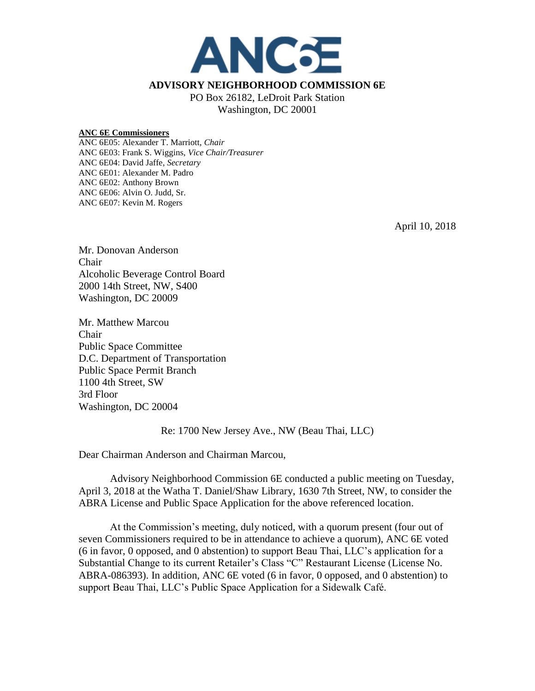

## **ADVISORY NEIGHBORHOOD COMMISSION 6E**

PO Box 26182, LeDroit Park Station Washington, DC 20001

## **ANC 6E Commissioners**

ANC 6E05: Alexander T. Marriott, *Chair* ANC 6E03: Frank S. Wiggins, *Vice Chair/Treasurer* ANC 6E04: David Jaffe, *Secretary* ANC 6E01: Alexander M. Padro ANC 6E02: Anthony Brown ANC 6E06: Alvin O. Judd, Sr. ANC 6E07: Kevin M. Rogers

April 10, 2018

Mr. Donovan Anderson Chair Alcoholic Beverage Control Board 2000 14th Street, NW, S400 Washington, DC 20009

Mr. Matthew Marcou Chair Public Space Committee D.C. Department of Transportation Public Space Permit Branch 1100 4th Street, SW 3rd Floor Washington, DC 20004

Re: 1700 New Jersey Ave., NW (Beau Thai, LLC)

Dear Chairman Anderson and Chairman Marcou,

Advisory Neighborhood Commission 6E conducted a public meeting on Tuesday, April 3, 2018 at the Watha T. Daniel/Shaw Library, 1630 7th Street, NW, to consider the ABRA License and Public Space Application for the above referenced location.

At the Commission's meeting, duly noticed, with a quorum present (four out of seven Commissioners required to be in attendance to achieve a quorum), ANC 6E voted (6 in favor, 0 opposed, and 0 abstention) to support Beau Thai, LLC's application for a Substantial Change to its current Retailer's Class "C" Restaurant License (License No. ABRA-086393). In addition, ANC 6E voted (6 in favor, 0 opposed, and 0 abstention) to support Beau Thai, LLC's Public Space Application for a Sidewalk Café.